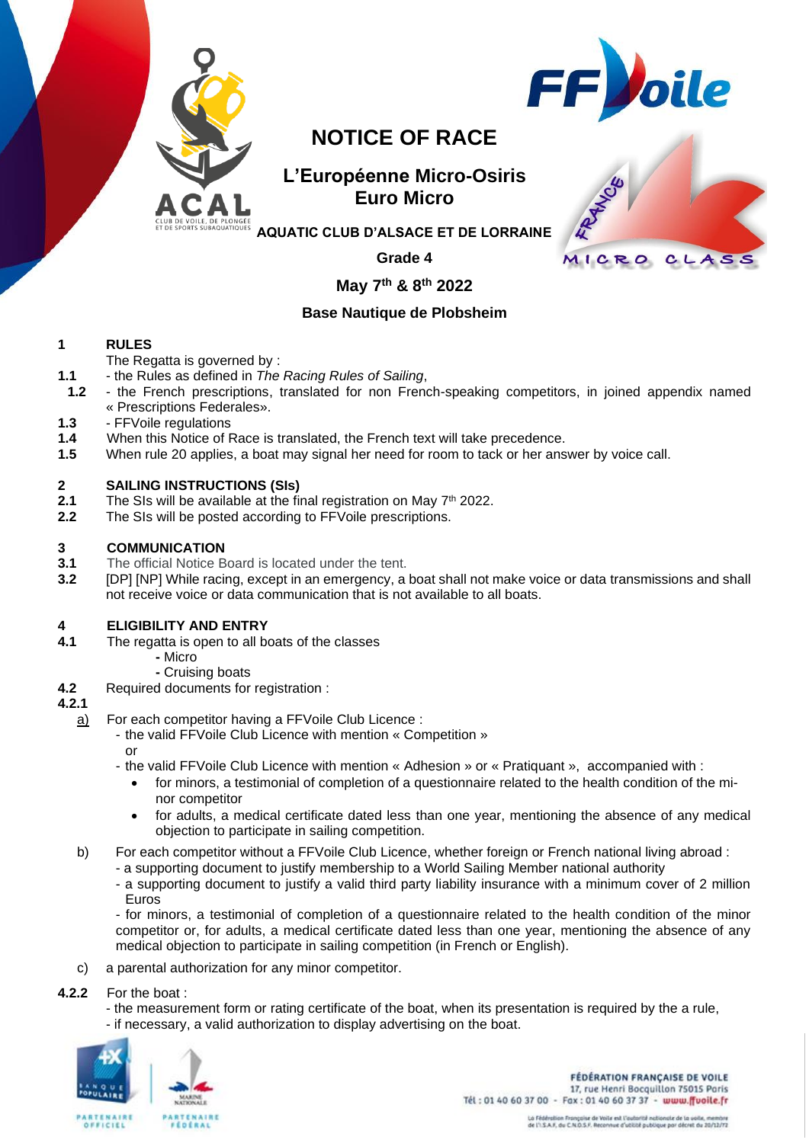



# **NOTICE OF RACE**

# **L'Européenne Micro-Osiris Euro Micro**



**AQUATIC CLUB D'ALSACE ET DE LORRAINE**

**Grade 4**

# **May 7 th & 8 th 2022**

# **Base Nautique de Plobsheim**

# **1 RULES**

The Regatta is governed by :

- **1.1** the Rules as defined in *The Racing Rules of Sailing*,
- **1.2** the French prescriptions, translated for non French-speaking competitors, in joined appendix named « Prescriptions Federales».
- **1.3** FFVoile regulations
- **1.4** When this Notice of Race is translated, the French text will take precedence.
- **1.5** When rule 20 applies, a boat may signal her need for room to tack or her answer by voice call.

### **2 SAILING INSTRUCTIONS (SIs)**

- **2.1** The SIs will be available at the final registration on May 7<sup>th</sup> 2022.
- **2.2** The SIs will be posted according to FFVoile prescriptions.

#### **3 COMMUNICATION**

- **3.1** The official Notice Board is located under the tent.
- **3.2** [DP] [NP] While racing, except in an emergency, a boat shall not make voice or data transmissions and shall not receive voice or data communication that is not available to all boats.

### **4 ELIGIBILITY AND ENTRY**

- **4.1** The regatta is open to all boats of the classes
	- **-** Micro
		- **-** Cruising boats
- **4.2** Required documents for registration :

#### **4.2.1**

- a) For each competitor having a FFVoile Club Licence :
	- the valid FFVoile Club Licence with mention « Competition » or
	- the valid FFVoile Club Licence with mention « Adhesion » or « Pratiquant », accompanied with :
		- for minors, a testimonial of completion of a questionnaire related to the health condition of the minor competitor
		- for adults, a medical certificate dated less than one year, mentioning the absence of any medical objection to participate in sailing competition.
- b) For each competitor without a FFVoile Club Licence, whether foreign or French national living abroad :
	- a supporting document to justify membership to a World Sailing Member national authority
		- a supporting document to justify a valid third party liability insurance with a minimum cover of 2 million Euros

- for minors, a testimonial of completion of a questionnaire related to the health condition of the minor competitor or, for adults, a medical certificate dated less than one year, mentioning the absence of any medical objection to participate in sailing competition (in French or English).

- c) a parental authorization for any minor competitor.
- **4.2.2** For the boat :
	- the measurement form or rating certificate of the boat, when its presentation is required by the a rule, - if necessary, a valid authorization to display advertising on the boat.



**FÉDÉRATION FRANÇAISE DE VOILE** 17, rue Henri Bocquillon 75015 Paris Tél: 01 40 60 37 00 - Fax: 01 40 60 37 37 - www.ffuoile.fr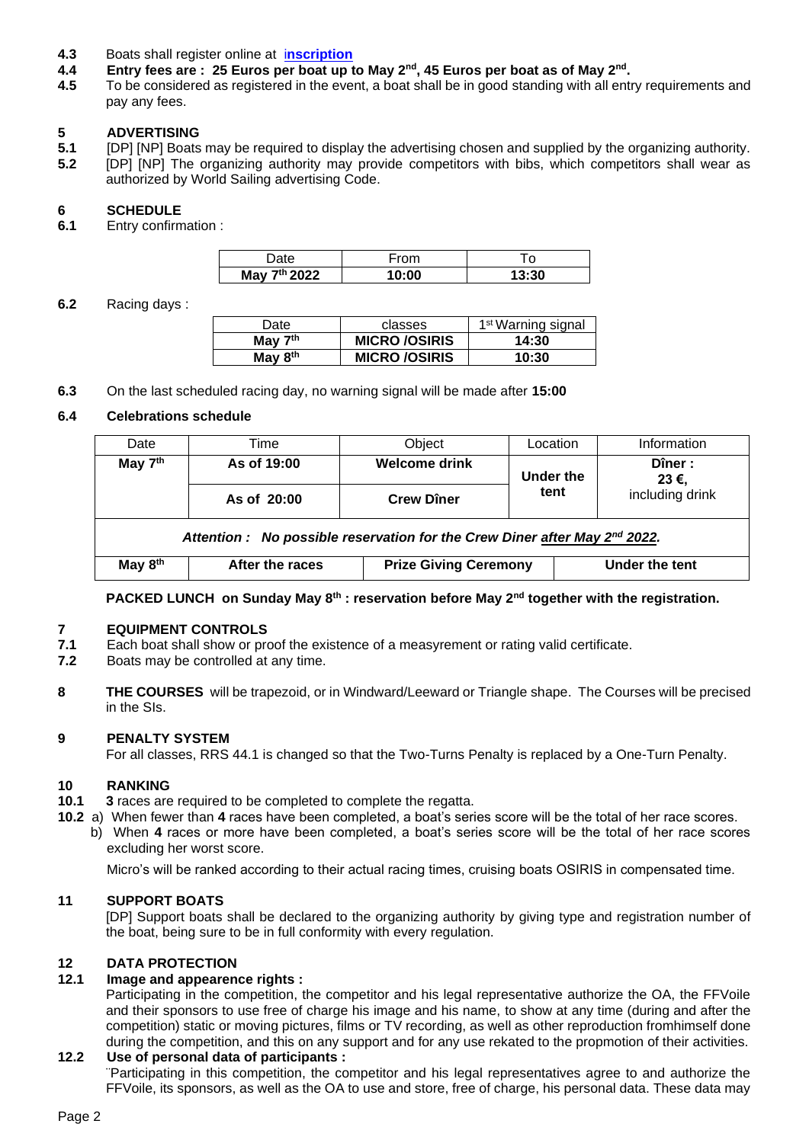- **4.3** Boats shall register online at i**[nscription](https://www.acal67.com/regates/euro-micro-osiris-7-et-8-mai-2022/)**
- **4.4 Entry fees are : 25 Euros per boat up to May 2nd, 45 Euros per boat as of May 2nd .**
- **4.5** To be considered as registered in the event, a boat shall be in good standing with all entry requirements and pay any fees.

#### **5 ADVERTISING**

**5.1** [DP] [NP] Boats may be required to display the advertising chosen and supplied by the organizing authority. **5.2** [DP] [NP] The organizing authority may provide competitors with bibs, which competitors shall wear as authorized by World Sailing advertising Code.

#### **6 SCHEDULE**

**6.1** Entry confirmation :

|                           | רת   |       |
|---------------------------|------|-------|
| <sup>th</sup> 2022<br>May | 0:00 | 13:30 |

**6.2** Racing days :

| Date                | classes              | 1 <sup>st</sup> Warning signal |
|---------------------|----------------------|--------------------------------|
| May $7th$           | <b>MICRO /OSIRIS</b> | 14:30                          |
| May 8 <sup>th</sup> | <b>MICRO /OSIRIS</b> | 10:30                          |

**6.3** On the last scheduled racing day, no warning signal will be made after **15:00**

#### **6.4 Celebrations schedule**

| Date                                                                                   | Time            | Object                       | Location  | Information     |  |  |  |  |
|----------------------------------------------------------------------------------------|-----------------|------------------------------|-----------|-----------------|--|--|--|--|
| May 7 <sup>th</sup>                                                                    | As of 19:00     | <b>Welcome drink</b>         | Under the | Dîner:<br>23 €, |  |  |  |  |
|                                                                                        | As of 20:00     | <b>Crew Dîner</b>            | tent      | including drink |  |  |  |  |
| Attention : No possible reservation for the Crew Diner after May 2 <sup>nd</sup> 2022. |                 |                              |           |                 |  |  |  |  |
| May 8 <sup>th</sup>                                                                    | After the races | <b>Prize Giving Ceremony</b> |           | Under the tent  |  |  |  |  |

#### **PACKED LUNCH on Sunday May 8th : reservation before May 2nd together with the registration.**

#### **7 EQUIPMENT CONTROLS**

- **7.1** Each boat shall show or proof the existence of a measyrement or rating valid certificate.
- **7.2** Boats may be controlled at any time.
- **8 THE COURSES** will be trapezoid, or in Windward/Leeward or Triangle shape. The Courses will be precised in the SIs.

#### **9 PENALTY SYSTEM**

For all classes, RRS 44.1 is changed so that the Two-Turns Penalty is replaced by a One-Turn Penalty.

#### **10 RANKING**

- **10.1 3** races are required to be completed to complete the regatta.
- **10.2** a) When fewer than **4** races have been completed, a boat's series score will be the total of her race scores.
	- b) When **4** races or more have been completed, a boat's series score will be the total of her race scores excluding her worst score.

Micro's will be ranked according to their actual racing times, cruising boats OSIRIS in compensated time.

#### **11 SUPPORT BOATS**

[DP] Support boats shall be declared to the organizing authority by giving type and registration number of the boat, being sure to be in full conformity with every regulation.

#### **12 DATA PROTECTION**

#### **12.1 Image and appearence rights :**

Participating in the competition, the competitor and his legal representative authorize the OA, the FFVoile and their sponsors to use free of charge his image and his name, to show at any time (during and after the competition) static or moving pictures, films or TV recording, as well as other reproduction fromhimself done during the competition, and this on any support and for any use rekated to the propmotion of their activities.

#### **12.2 Use of personal data of participants :**

¨Participating in this competition, the competitor and his legal representatives agree to and authorize the FFVoile, its sponsors, as well as the OA to use and store, free of charge, his personal data. These data may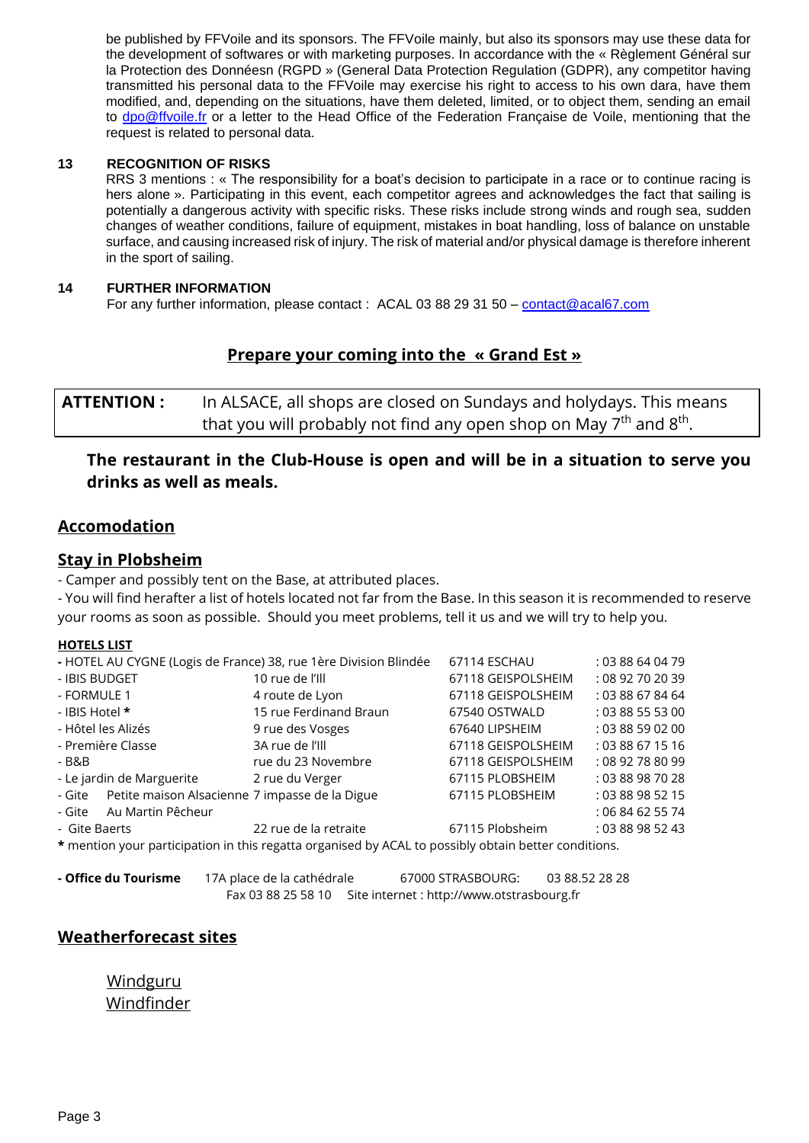be published by FFVoile and its sponsors. The FFVoile mainly, but also its sponsors may use these data for the development of softwares or with marketing purposes. In accordance with the « Règlement Général sur la Protection des Donnéesn (RGPD » (General Data Protection Regulation (GDPR), any competitor having transmitted his personal data to the FFVoile may exercise his right to access to his own dara, have them modified, and, depending on the situations, have them deleted, limited, or to object them, sending an email to [dpo@ffvoile.fr](mailto:dpo@ffvoile.fr) or a letter to the Head Office of the Federation Française de Voile, mentioning that the request is related to personal data.

#### **13 RECOGNITION OF RISKS**

RRS 3 mentions : « The responsibility for a boat's decision to participate in a race or to continue racing is hers alone ». Participating in this event, each competitor agrees and acknowledges the fact that sailing is potentially a dangerous activity with specific risks. These risks include strong winds and rough sea, sudden changes of weather conditions, failure of equipment, mistakes in boat handling, loss of balance on unstable surface, and causing increased risk of injury. The risk of material and/or physical damage is therefore inherent in the sport of sailing.

#### **14 FURTHER INFORMATION**

For any further information, please contact : ACAL 03 88 29 31 50 – [contact@acal67.com](file:///C:/Users/Pierre%20Lemaire/Downloads/contact@acal67.com)

# **Prepare your coming into the « Grand Est »**

**ATTENTION :** In ALSACE, all shops are closed on Sundays and holydays. This means that you will probably not find any open shop on May 7<sup>th</sup> and 8<sup>th</sup>.

# **The restaurant in the Club-House is open and will be in a situation to serve you drinks as well as meals.**

### **Accomodation**

# **Stay in Plobsheim**

- Camper and possibly tent on the Base, at attributed places.

- You will find herafter a list of hotels located not far from the Base. In this season it is recommended to reserve your rooms as soon as possible. Should you meet problems, tell it us and we will try to help you.

#### **HOTELS LIST**

| - HOTEL AU CYGNE (Logis de France) 38, rue 1ère Division Blindée                                     |                        | 67114 ESCHAU       | : 03 88 64 04 79 |  |
|------------------------------------------------------------------------------------------------------|------------------------|--------------------|------------------|--|
| - IBIS BUDGET                                                                                        | 10 rue de l'Ill        | 67118 GEISPOLSHEIM | : 08 92 70 20 39 |  |
| - FORMULE 1                                                                                          | 4 route de Lyon        | 67118 GEISPOLSHEIM | : 03 88 67 84 64 |  |
| - IBIS Hotel *                                                                                       | 15 rue Ferdinand Braun | 67540 OSTWALD      | : 0388555300     |  |
| - Hôtel les Alizés                                                                                   | 9 rue des Vosges       | 67640 LIPSHEIM     | : 0388590200     |  |
| - Première Classe                                                                                    | 3A rue de l'Ill        | 67118 GEISPOLSHEIM | : 03 88 67 15 16 |  |
| - B&B                                                                                                | rue du 23 Novembre     | 67118 GEISPOLSHEIM | : 08 92 78 80 99 |  |
| - Le jardin de Marguerite                                                                            | 2 rue du Verger        | 67115 PLOBSHEIM    | : 03 88 98 70 28 |  |
| Petite maison Alsacienne 7 impasse de la Digue<br>- Gite                                             |                        | 67115 PLOBSHEIM    | : 03 88 98 52 15 |  |
| Au Martin Pêcheur<br>- Gite                                                                          |                        |                    | : 06 84 62 55 74 |  |
| - Gite Baerts                                                                                        | 22 rue de la retraite  | 67115 Plobsheim    | : 03 88 98 52 43 |  |
| * mention your participation in this regatta organised by ACAL to possibly obtain better conditions. |                        |                    |                  |  |

**- Office du Tourisme** 17A place de la cathédrale 67000 STRASBOURG: 03 88.52 28 28 Fax 03 88 25 58 10 Site internet : http://www.otstrasbourg.fr

# **Weatherforecast sites**

[Windguru](https://www.windguru.cz/72298) [Windfinder](https://fr.windfinder.com/forecast/rhein_basin_plobsheim)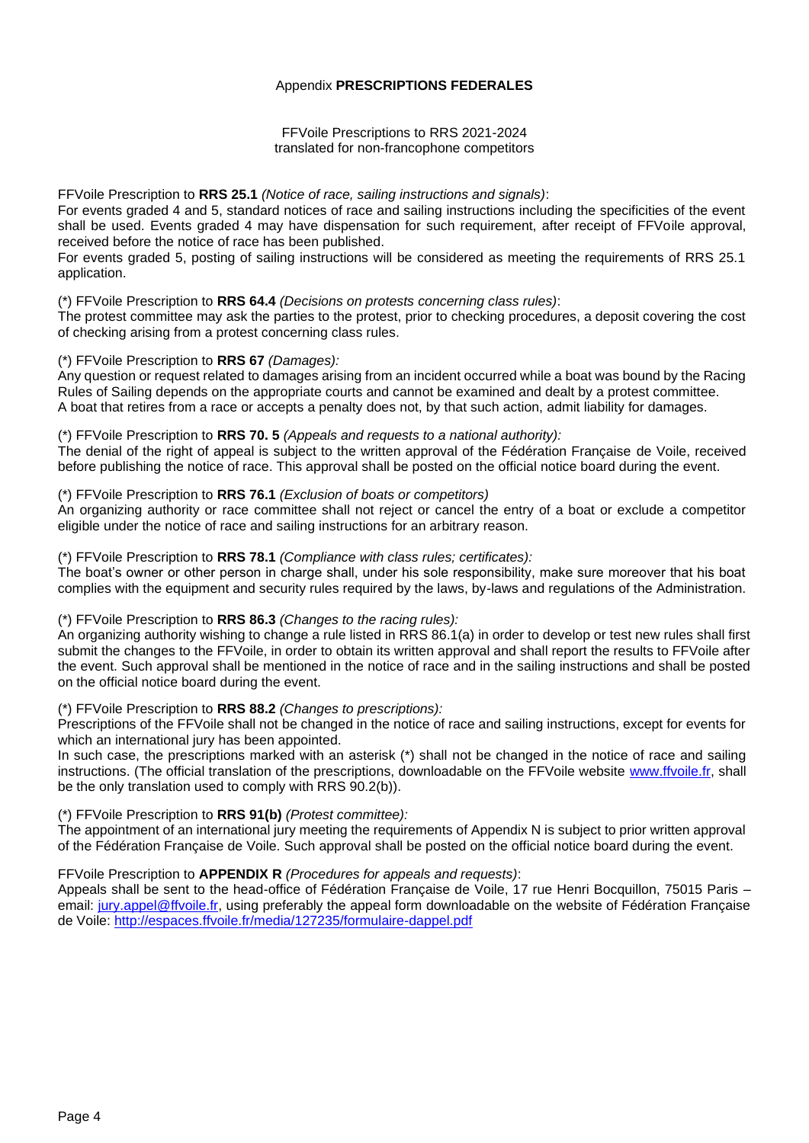#### Appendix **PRESCRIPTIONS FEDERALES**

FFVoile Prescriptions to RRS 2021-2024 translated for non-francophone competitors

#### FFVoile Prescription to **RRS 25.1** *(Notice of race, sailing instructions and signals)*:

For events graded 4 and 5, standard notices of race and sailing instructions including the specificities of the event shall be used. Events graded 4 may have dispensation for such requirement, after receipt of FFVoile approval, received before the notice of race has been published.

For events graded 5, posting of sailing instructions will be considered as meeting the requirements of RRS 25.1 application.

#### (\*) FFVoile Prescription to **RRS 64.4** *(Decisions on protests concerning class rules)*:

The protest committee may ask the parties to the protest, prior to checking procedures, a deposit covering the cost of checking arising from a protest concerning class rules.

#### (\*) FFVoile Prescription to **RRS 67** *(Damages):*

Any question or request related to damages arising from an incident occurred while a boat was bound by the Racing Rules of Sailing depends on the appropriate courts and cannot be examined and dealt by a protest committee. A boat that retires from a race or accepts a penalty does not, by that such action, admit liability for damages.

#### (\*) FFVoile Prescription to **RRS 70. 5** *(Appeals and requests to a national authority):*

The denial of the right of appeal is subject to the written approval of the Fédération Française de Voile, received before publishing the notice of race. This approval shall be posted on the official notice board during the event.

#### (\*) FFVoile Prescription to **RRS 76.1** *(Exclusion of boats or competitors)*

An organizing authority or race committee shall not reject or cancel the entry of a boat or exclude a competitor eligible under the notice of race and sailing instructions for an arbitrary reason.

### (\*) FFVoile Prescription to **RRS 78.1** *(Compliance with class rules; certificates):*

The boat's owner or other person in charge shall, under his sole responsibility, make sure moreover that his boat complies with the equipment and security rules required by the laws, by-laws and regulations of the Administration.

#### (\*) FFVoile Prescription to **RRS 86.3** *(Changes to the racing rules):*

An organizing authority wishing to change a rule listed in RRS 86.1(a) in order to develop or test new rules shall first submit the changes to the FFVoile, in order to obtain its written approval and shall report the results to FFVoile after the event. Such approval shall be mentioned in the notice of race and in the sailing instructions and shall be posted on the official notice board during the event.

#### (\*) FFVoile Prescription to **RRS 88.2** *(Changes to prescriptions):*

Prescriptions of the FFVoile shall not be changed in the notice of race and sailing instructions, except for events for which an international jury has been appointed.

In such case, the prescriptions marked with an asterisk (\*) shall not be changed in the notice of race and sailing instructions. (The official translation of the prescriptions, downloadable on the FFVoile website [www.ffvoile.fr,](http://www.ffvoile.fr/) shall be the only translation used to comply with RRS 90.2(b)).

### (\*) FFVoile Prescription to **RRS 91(b)** *(Protest committee):*

The appointment of an international jury meeting the requirements of Appendix N is subject to prior written approval of the Fédération Française de Voile. Such approval shall be posted on the official notice board during the event.

#### FFVoile Prescription to **APPENDIX R** *(Procedures for appeals and requests)*:

Appeals shall be sent to the head-office of Fédération Française de Voile, 17 rue Henri Bocquillon, 75015 Paris – email: [jury.appel@ffvoile.fr,](mailto:jury.appel@ffvoile.fr) using preferably the appeal form downloadable on the website of Fédération Française de Voile:<http://espaces.ffvoile.fr/media/127235/formulaire-dappel.pdf>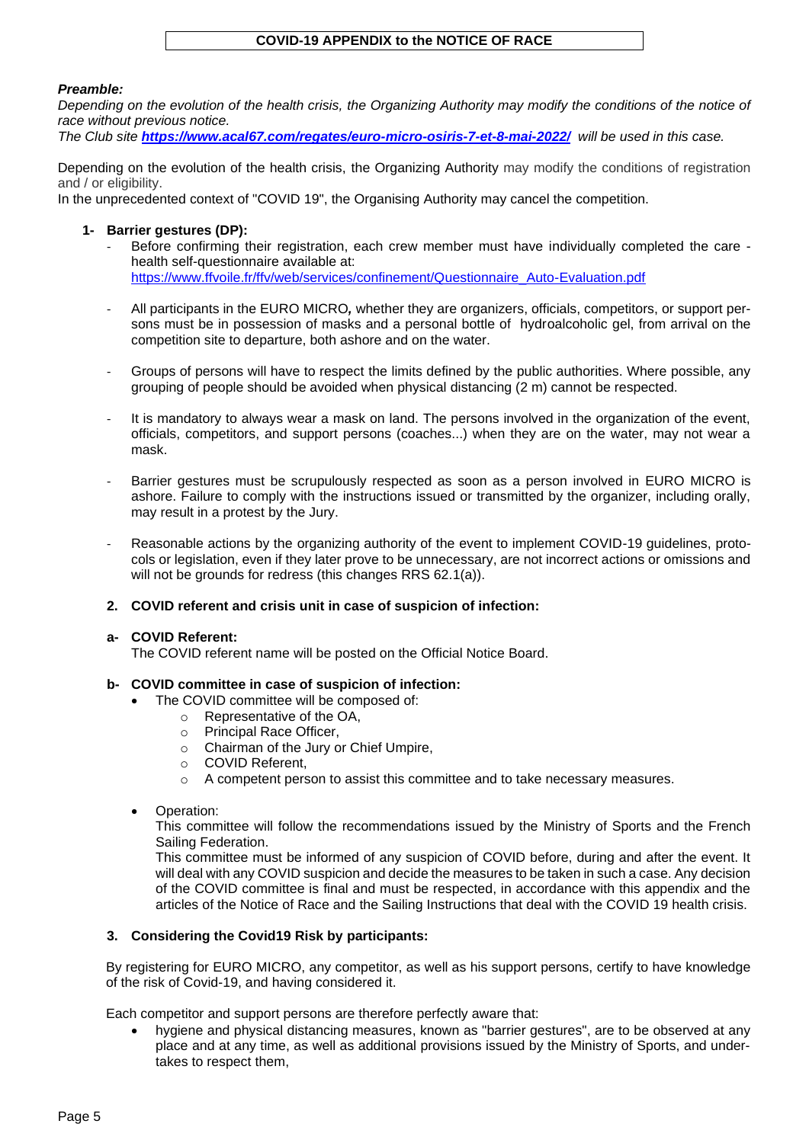#### **COVID-19 APPENDIX to the NOTICE OF RACE**

#### *Preamble:*

*Depending on the evolution of the health crisis, the Organizing Authority may modify the conditions of the notice of race without previous notice.*

*The Club site <https://www.acal67.com/regates/euro-micro-osiris-7-et-8-mai-2022/>will be used in this case.*

Depending on the evolution of the health crisis, the Organizing Authority may modify the conditions of registration and / or eligibility.

In the unprecedented context of "COVID 19", the Organising Authority may cancel the competition.

#### **1- Barrier gestures (DP):**

- Before confirming their registration, each crew member must have individually completed the care health self-questionnaire available at: [https://www.ffvoile.fr/ffv/web/services/confinement/Questionnaire\\_Auto-Evaluation.pdf](https://www.ffvoile.fr/ffv/web/services/confinement/Questionnaire_Auto-Evaluation.pdf)
- All participants in the EURO MICRO*,* whether they are organizers, officials, competitors, or support per-
- sons must be in possession of masks and a personal bottle of hydroalcoholic gel, from arrival on the competition site to departure, both ashore and on the water.
- Groups of persons will have to respect the limits defined by the public authorities. Where possible, any grouping of people should be avoided when physical distancing (2 m) cannot be respected.
- It is mandatory to always wear a mask on land. The persons involved in the organization of the event, officials, competitors, and support persons (coaches...) when they are on the water, may not wear a mask.
- Barrier gestures must be scrupulously respected as soon as a person involved in EURO MICRO is ashore. Failure to comply with the instructions issued or transmitted by the organizer, including orally, may result in a protest by the Jury.
- Reasonable actions by the organizing authority of the event to implement COVID-19 guidelines, protocols or legislation, even if they later prove to be unnecessary, are not incorrect actions or omissions and will not be grounds for redress (this changes RRS 62.1(a)).
- **2. COVID referent and crisis unit in case of suspicion of infection:**

#### **a- COVID Referent:**

The COVID referent name will be posted on the Official Notice Board.

#### **b- COVID committee in case of suspicion of infection:**

- The COVID committee will be composed of:
	- o Representative of the OA,
	- o Principal Race Officer,
	- o Chairman of the Jury or Chief Umpire,
	- o COVID Referent,
	- o A competent person to assist this committee and to take necessary measures.
- Operation:

This committee will follow the recommendations issued by the Ministry of Sports and the French Sailing Federation.

This committee must be informed of any suspicion of COVID before, during and after the event. It will deal with any COVID suspicion and decide the measures to be taken in such a case. Any decision of the COVID committee is final and must be respected, in accordance with this appendix and the articles of the Notice of Race and the Sailing Instructions that deal with the COVID 19 health crisis.

#### **3. Considering the Covid19 Risk by participants:**

By registering for EURO MICRO, any competitor, as well as his support persons, certify to have knowledge of the risk of Covid-19, and having considered it.

Each competitor and support persons are therefore perfectly aware that:

• hygiene and physical distancing measures, known as "barrier gestures", are to be observed at any place and at any time, as well as additional provisions issued by the Ministry of Sports, and undertakes to respect them,